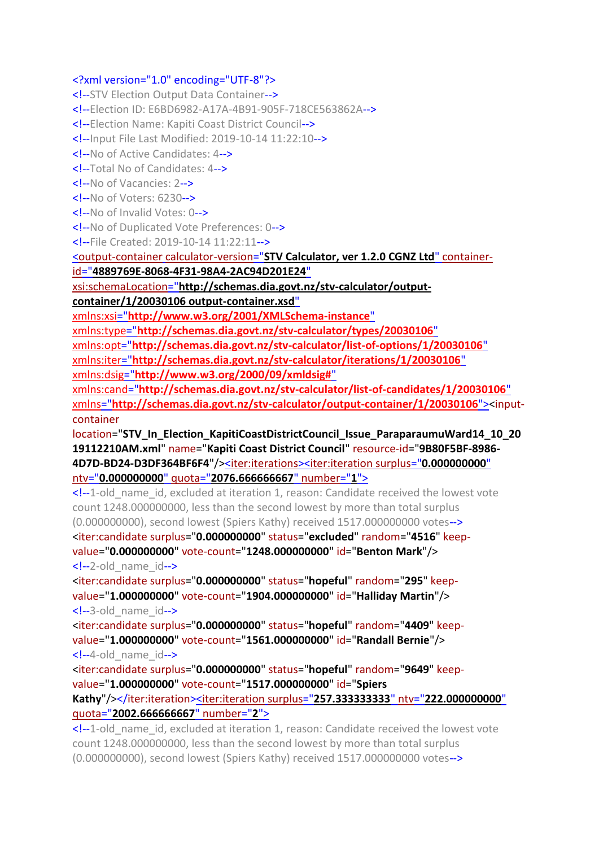## <?xml version="1.0" encoding="UTF-8"?>

<!--STV Election Output Data Container--> <!--Election ID: E6BD6982-A17A-4B91-905F-718CE563862A--> <!--Election Name: Kapiti Coast District Council--> <!--Input File Last Modified: 2019-10-14 11:22:10--> <!--No of Active Candidates: 4--> <!--Total No of Candidates: 4--> <!--No of Vacancies: 2--> <!--No of Voters: 6230--> <!--No of Invalid Votes: 0--> <!--No of Duplicated Vote Preferences: 0--> <!--File Created: 2019-10-14 11:22:11--> <output-container calculator-version="**[STV Calculator, ver 1.2.0 CGNZ Ltd](file:///C:/Program%20Files%20(x86)/STVCalculator/STVR/STV_Result_Election_KapitiCoastDistrictCouncil_Issue_ParaparaumuWard14_10_2019112210AM_N.xml)**" containerid="**[4889769E-8068-4F31-98A4-2AC94D201E24](file:///C:/Program%20Files%20(x86)/STVCalculator/STVR/STV_Result_Election_KapitiCoastDistrictCouncil_Issue_ParaparaumuWard14_10_2019112210AM_N.xml)**" xsi:schemaLocation="**[http://schemas.dia.govt.nz/stv-calculator/output](file:///C:/Program%20Files%20(x86)/STVCalculator/STVR/STV_Result_Election_KapitiCoastDistrictCouncil_Issue_ParaparaumuWard14_10_2019112210AM_N.xml)[container/1/20030106 output-container.xsd](file:///C:/Program%20Files%20(x86)/STVCalculator/STVR/STV_Result_Election_KapitiCoastDistrictCouncil_Issue_ParaparaumuWard14_10_2019112210AM_N.xml)**" xmlns:xsi="**[http://www.w3.org/2001/XMLSchema-instance](file:///C:/Program%20Files%20(x86)/STVCalculator/STVR/STV_Result_Election_KapitiCoastDistrictCouncil_Issue_ParaparaumuWard14_10_2019112210AM_N.xml)**" xmlns:type="**[http://schemas.dia.govt.nz/stv-calculator/types/20030106](file:///C:/Program%20Files%20(x86)/STVCalculator/STVR/STV_Result_Election_KapitiCoastDistrictCouncil_Issue_ParaparaumuWard14_10_2019112210AM_N.xml)**" xmlns:opt="**[http://schemas.dia.govt.nz/stv-calculator/list-of-options/1/20030106](file:///C:/Program%20Files%20(x86)/STVCalculator/STVR/STV_Result_Election_KapitiCoastDistrictCouncil_Issue_ParaparaumuWard14_10_2019112210AM_N.xml)**" xmlns:iter="**[http://schemas.dia.govt.nz/stv-calculator/iterations/1/20030106](file:///C:/Program%20Files%20(x86)/STVCalculator/STVR/STV_Result_Election_KapitiCoastDistrictCouncil_Issue_ParaparaumuWard14_10_2019112210AM_N.xml)**" xmlns:dsig="**[http://www.w3.org/2000/09/xmldsig#](file:///C:/Program%20Files%20(x86)/STVCalculator/STVR/STV_Result_Election_KapitiCoastDistrictCouncil_Issue_ParaparaumuWard14_10_2019112210AM_N.xml)**" xmlns:cand="**[http://schemas.dia.govt.nz/stv-calculator/list-of-candidates/1/20030106](file:///C:/Program%20Files%20(x86)/STVCalculator/STVR/STV_Result_Election_KapitiCoastDistrictCouncil_Issue_ParaparaumuWard14_10_2019112210AM_N.xml)**" xmlns="**[http://schemas.dia.govt.nz/stv-calculator/output-container/1/20030106](file:///C:/Program%20Files%20(x86)/STVCalculator/STVR/STV_Result_Election_KapitiCoastDistrictCouncil_Issue_ParaparaumuWard14_10_2019112210AM_N.xml)**"><inputcontainer location="**STV\_In\_Election\_KapitiCoastDistrictCouncil\_Issue\_ParaparaumuWard14\_10\_20 19112210AM.xml**" name="**Kapiti Coast District Council**" resource-id="**9B80F5BF-8986- 4D7D-BD24-D3DF364BF6F4**"/[><iter:iterations><iter:iteration](file:///C:/Program%20Files%20(x86)/STVCalculator/STVR/STV_Result_Election_KapitiCoastDistrictCouncil_Issue_ParaparaumuWard14_10_2019112210AM_N.xml) surplus="**0.000000000**" ntv="**0.000000000**" quota="**[2076.666666667](file:///C:/Program%20Files%20(x86)/STVCalculator/STVR/STV_Result_Election_KapitiCoastDistrictCouncil_Issue_ParaparaumuWard14_10_2019112210AM_N.xml)**" number="**1**"> <!--1-old\_name\_id, excluded at iteration 1, reason: Candidate received the lowest vote count 1248.000000000, less than the second lowest by more than total surplus (0.000000000), second lowest (Spiers Kathy) received 1517.000000000 votes-->

<iter:candidate surplus="**0.000000000**" status="**excluded**" random="**4516**" keepvalue="**0.000000000**" vote-count="**1248.000000000**" id="**Benton Mark**"/> <!--2-old\_name\_id-->

<iter:candidate surplus="**0.000000000**" status="**hopeful**" random="**295**" keepvalue="**1.000000000**" vote-count="**1904.000000000**" id="**Halliday Martin**"/> <!--3-old\_name\_id-->

<iter:candidate surplus="**0.000000000**" status="**hopeful**" random="**4409**" keepvalue="**1.000000000**" vote-count="**1561.000000000**" id="**Randall Bernie**"/> <!--4-old\_name\_id-->

<iter:candidate surplus="**0.000000000**" status="**hopeful**" random="**9649**" keepvalue="**1.000000000**" vote-count="**1517.000000000**" id="**Spiers Kathy**"/></iter:iteration><iter:iteration surplus="**[257.333333333](file:///C:/Program%20Files%20(x86)/STVCalculator/STVR/STV_Result_Election_KapitiCoastDistrictCouncil_Issue_ParaparaumuWard14_10_2019112210AM_N.xml)**" ntv="**222.000000000**" quota="**[2002.666666667](file:///C:/Program%20Files%20(x86)/STVCalculator/STVR/STV_Result_Election_KapitiCoastDistrictCouncil_Issue_ParaparaumuWard14_10_2019112210AM_N.xml)**" number="**2**">

<!--1-old\_name\_id, excluded at iteration 1, reason: Candidate received the lowest vote count 1248.000000000, less than the second lowest by more than total surplus (0.000000000), second lowest (Spiers Kathy) received 1517.000000000 votes-->